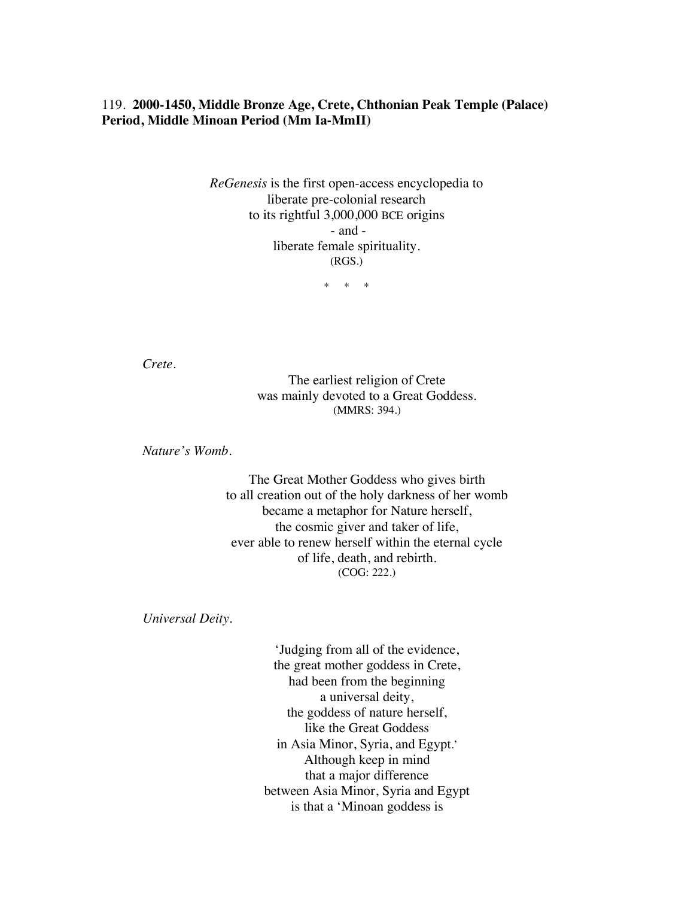## 119. **2000-1450, Middle Bronze Age, Crete, Chthonian Peak Temple (Palace) Period, Middle Minoan Period (Mm Ia-MmII)**

*ReGenesis* is the first open-access encyclopedia to liberate pre-colonial research to its rightful 3,000,000 BCE origins - and liberate female spirituality. (RGS.)

\* \* \*

*Crete.*

The earliest religion of Crete was mainly devoted to a Great Goddess. (MMRS: 394.)

*Nature's Womb.*

The Great Mother Goddess who gives birth to all creation out of the holy darkness of her womb became a metaphor for Nature herself, the cosmic giver and taker of life, ever able to renew herself within the eternal cycle of life, death, and rebirth. (COG: 222.)

*Universal Deity.*

'Judging from all of the evidence, the great mother goddess in Crete, had been from the beginning a universal deity, the goddess of nature herself, like the Great Goddess in Asia Minor, Syria, and Egypt.' Although keep in mind that a major difference between Asia Minor, Syria and Egypt is that a 'Minoan goddess is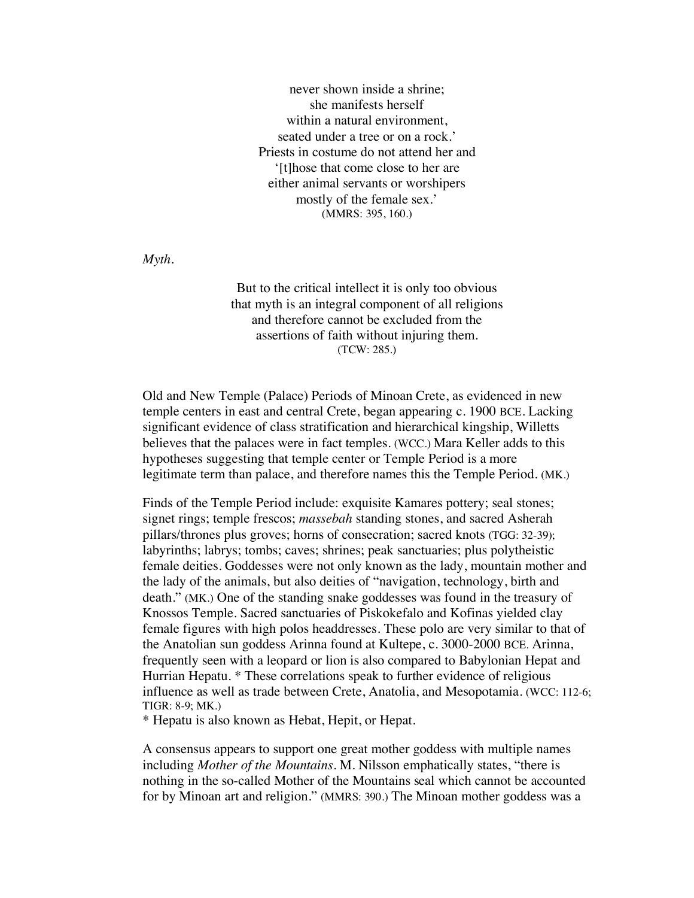never shown inside a shrine; she manifests herself within a natural environment, seated under a tree or on a rock.' Priests in costume do not attend her and '[t]hose that come close to her are either animal servants or worshipers mostly of the female sex.' (MMRS: 395, 160.)

*Myth.*

But to the critical intellect it is only too obvious that myth is an integral component of all religions and therefore cannot be excluded from the assertions of faith without injuring them. (TCW: 285.)

Old and New Temple (Palace) Periods of Minoan Crete, as evidenced in new temple centers in east and central Crete, began appearing c. 1900 BCE. Lacking significant evidence of class stratification and hierarchical kingship, Willetts believes that the palaces were in fact temples. (WCC.) Mara Keller adds to this hypotheses suggesting that temple center or Temple Period is a more legitimate term than palace, and therefore names this the Temple Period. (MK.)

Finds of the Temple Period include: exquisite Kamares pottery; seal stones; signet rings; temple frescos; *massebah* standing stones, and sacred Asherah pillars/thrones plus groves; horns of consecration; sacred knots (TGG: 32-39); labyrinths; labrys; tombs; caves; shrines; peak sanctuaries; plus polytheistic female deities. Goddesses were not only known as the lady, mountain mother and the lady of the animals, but also deities of "navigation, technology, birth and death." (MK.) One of the standing snake goddesses was found in the treasury of Knossos Temple. Sacred sanctuaries of Piskokefalo and Kofinas yielded clay female figures with high polos headdresses. These polo are very similar to that of the Anatolian sun goddess Arinna found at Kultepe, c. 3000-2000 BCE. Arinna, frequently seen with a leopard or lion is also compared to Babylonian Hepat and Hurrian Hepatu. \* These correlations speak to further evidence of religious influence as well as trade between Crete, Anatolia, and Mesopotamia. (WCC: 112-6; TIGR: 8-9; MK.)

\* Hepatu is also known as Hebat, Hepit, or Hepat.

A consensus appears to support one great mother goddess with multiple names including *Mother of the Mountains*. M. Nilsson emphatically states, "there is nothing in the so-called Mother of the Mountains seal which cannot be accounted for by Minoan art and religion." (MMRS: 390.) The Minoan mother goddess was a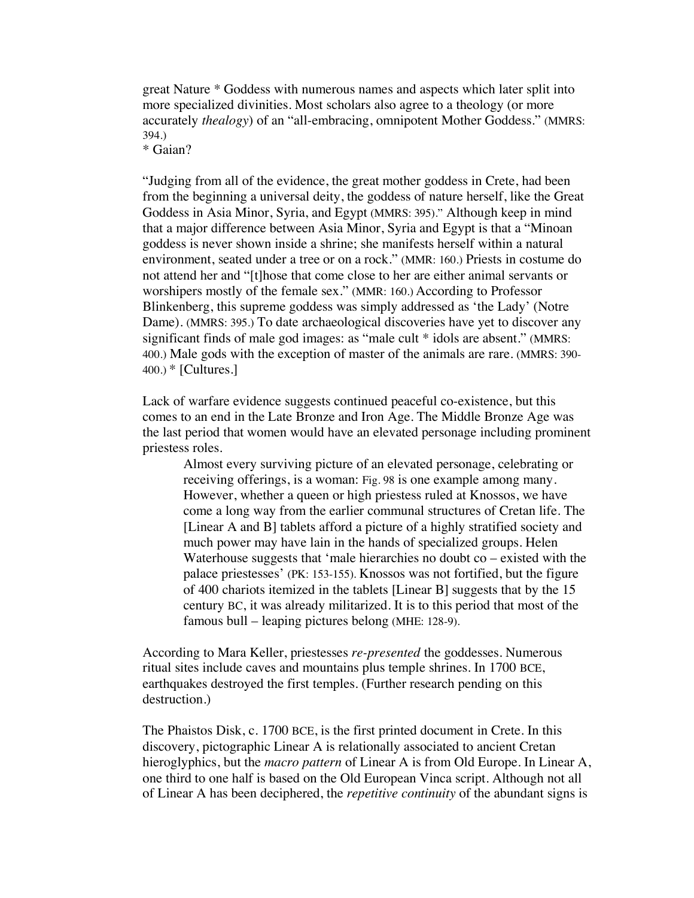great Nature \* Goddess with numerous names and aspects which later split into more specialized divinities. Most scholars also agree to a theology (or more accurately *thealogy*) of an "all-embracing, omnipotent Mother Goddess." (MMRS: 394.) \* Gaian?

"Judging from all of the evidence, the great mother goddess in Crete, had been from the beginning a universal deity, the goddess of nature herself, like the Great Goddess in Asia Minor, Syria, and Egypt (MMRS: 395)." Although keep in mind that a major difference between Asia Minor, Syria and Egypt is that a "Minoan goddess is never shown inside a shrine; she manifests herself within a natural environment, seated under a tree or on a rock." (MMR: 160.) Priests in costume do not attend her and "[t]hose that come close to her are either animal servants or worshipers mostly of the female sex." (MMR: 160.) According to Professor Blinkenberg, this supreme goddess was simply addressed as 'the Lady' (Notre Dame). (MMRS: 395.) To date archaeological discoveries have yet to discover any significant finds of male god images: as "male cult \* idols are absent." (MMRS: 400.) Male gods with the exception of master of the animals are rare. (MMRS: 390- 400.) \* [Cultures.]

Lack of warfare evidence suggests continued peaceful co-existence, but this comes to an end in the Late Bronze and Iron Age. The Middle Bronze Age was the last period that women would have an elevated personage including prominent priestess roles.

Almost every surviving picture of an elevated personage, celebrating or receiving offerings, is a woman: Fig. 98 is one example among many. However, whether a queen or high priestess ruled at Knossos, we have come a long way from the earlier communal structures of Cretan life. The [Linear A and B] tablets afford a picture of a highly stratified society and much power may have lain in the hands of specialized groups. Helen Waterhouse suggests that 'male hierarchies no doubt  $\cos$  – existed with the palace priestesses' (PK: 153-155). Knossos was not fortified, but the figure of 400 chariots itemized in the tablets [Linear B] suggests that by the 15 century BC, it was already militarized. It is to this period that most of the famous bull – leaping pictures belong (MHE: 128-9).

According to Mara Keller, priestesses *re-presented* the goddesses. Numerous ritual sites include caves and mountains plus temple shrines. In 1700 BCE, earthquakes destroyed the first temples. (Further research pending on this destruction.)

The Phaistos Disk, c. 1700 BCE, is the first printed document in Crete. In this discovery, pictographic Linear A is relationally associated to ancient Cretan hieroglyphics, but the *macro pattern* of Linear A is from Old Europe. In Linear A, one third to one half is based on the Old European Vinca script. Although not all of Linear A has been deciphered, the *repetitive continuity* of the abundant signs is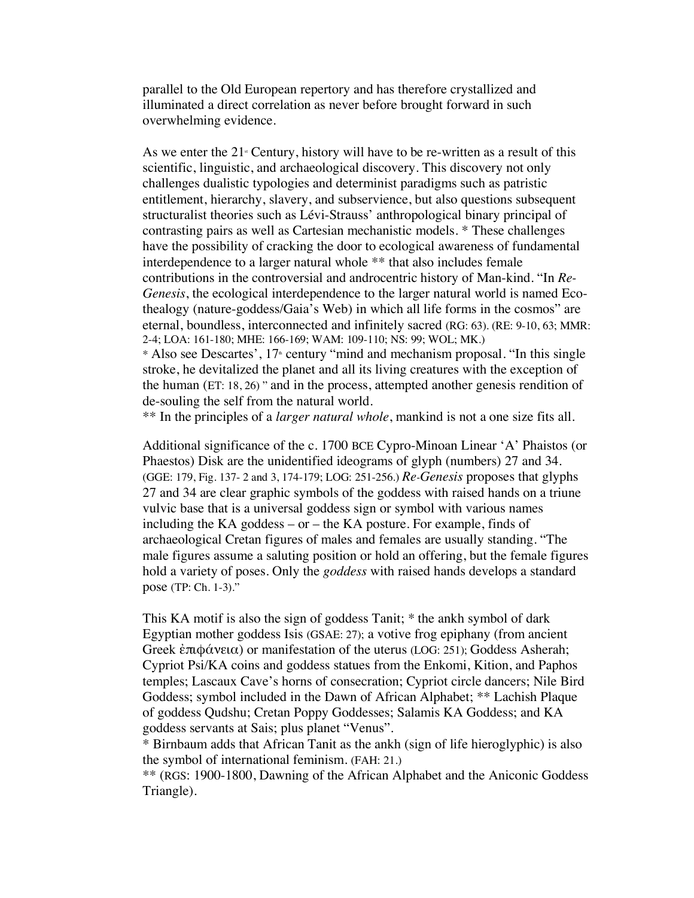parallel to the Old European repertory and has therefore crystallized and illuminated a direct correlation as never before brought forward in such overwhelming evidence.

As we enter the  $21$ <sup>s</sup> Century, history will have to be re-written as a result of this scientific, linguistic, and archaeological discovery. This discovery not only challenges dualistic typologies and determinist paradigms such as patristic entitlement, hierarchy, slavery, and subservience, but also questions subsequent structuralist theories such as Lévi-Strauss' anthropological binary principal of contrasting pairs as well as Cartesian mechanistic models. \* These challenges have the possibility of cracking the door to ecological awareness of fundamental interdependence to a larger natural whole \*\* that also includes female contributions in the controversial and androcentric history of Man-kind. "In *Re-Genesis*, the ecological interdependence to the larger natural world is named Ecothealogy (nature-goddess/Gaia's Web) in which all life forms in the cosmos" are eternal, boundless, interconnected and infinitely sacred (RG: 63). (RE: 9-10, 63; MMR: 2-4; LOA: 161-180; MHE: 166-169; WAM: 109-110; NS: 99; WOL; MK.)

\* Also see Descartes', 17<sup>th</sup> century "mind and mechanism proposal. "In this single stroke, he devitalized the planet and all its living creatures with the exception of the human (ET: 18, 26) " and in the process, attempted another genesis rendition of de-souling the self from the natural world.

\*\* In the principles of a *larger natural whole*, mankind is not a one size fits all.

Additional significance of the c. 1700 BCE Cypro-Minoan Linear 'A' Phaistos (or Phaestos) Disk are the unidentified ideograms of glyph (numbers) 27 and 34. (GGE: 179, Fig. 137- 2 and 3, 174-179; LOG: 251-256.) *Re-Genesis* proposes that glyphs 27 and 34 are clear graphic symbols of the goddess with raised hands on a triune vulvic base that is a universal goddess sign or symbol with various names including the KA goddess – or – the KA posture. For example, finds of archaeological Cretan figures of males and females are usually standing. "The male figures assume a saluting position or hold an offering, but the female figures hold a variety of poses. Only the *goddess* with raised hands develops a standard pose (TP: Ch. 1-3)."

This KA motif is also the sign of goddess Tanit; \* the ankh symbol of dark Egyptian mother goddess Isis (GSAE: 27); a votive frog epiphany (from ancient Greek ἐπιφάνεια) or manifestation of the uterus (LOG: 251); Goddess Asherah; Cypriot Psi/KA coins and goddess statues from the Enkomi, Kition, and Paphos temples; Lascaux Cave's horns of consecration; Cypriot circle dancers; Nile Bird Goddess; symbol included in the Dawn of African Alphabet; \*\* Lachish Plaque of goddess Qudshu; Cretan Poppy Goddesses; Salamis KA Goddess; and KA goddess servants at Sais; plus planet "Venus".

\* Birnbaum adds that African Tanit as the ankh (sign of life hieroglyphic) is also the symbol of international feminism. (FAH: 21.)

\*\* (RGS: 1900-1800, Dawning of the African Alphabet and the Aniconic Goddess Triangle).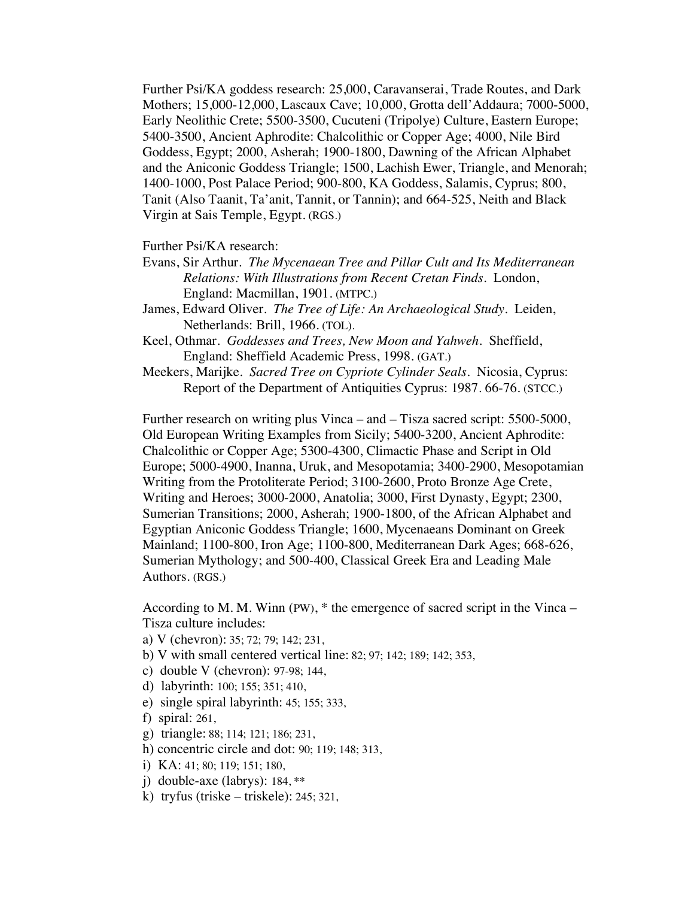Further Psi/KA goddess research: 25,000, Caravanserai, Trade Routes, and Dark Mothers; 15,000-12,000, Lascaux Cave; 10,000, Grotta dell'Addaura; 7000-5000, Early Neolithic Crete; 5500-3500, Cucuteni (Tripolye) Culture, Eastern Europe; 5400-3500, Ancient Aphrodite: Chalcolithic or Copper Age; 4000, Nile Bird Goddess, Egypt; 2000, Asherah; 1900-1800, Dawning of the African Alphabet and the Aniconic Goddess Triangle; 1500, Lachish Ewer, Triangle, and Menorah; 1400-1000, Post Palace Period; 900-800, KA Goddess, Salamis, Cyprus; 800, Tanit (Also Taanit, Ta'anit, Tannit, or Tannin); and 664-525, Neith and Black Virgin at Sais Temple, Egypt. (RGS.)

Further Psi/KA research:

- Evans, Sir Arthur. *The Mycenaean Tree and Pillar Cult and Its Mediterranean Relations: With Illustrations from Recent Cretan Finds*. London, England: Macmillan, 1901. (MTPC.)
- James, Edward Oliver. *The Tree of Life: An Archaeological Study*. Leiden, Netherlands: Brill, 1966. (TOL).
- Keel, Othmar. *Goddesses and Trees, New Moon and Yahweh*. Sheffield, England: Sheffield Academic Press, 1998. (GAT.)
- Meekers, Marijke.*Sacred Tree on Cypriote Cylinder Seals*. Nicosia, Cyprus: Report of the Department of Antiquities Cyprus: 1987. 66-76. (STCC.)

Further research on writing plus Vinca – and – Tisza sacred script: 5500-5000, Old European Writing Examples from Sicily; 5400-3200, Ancient Aphrodite: Chalcolithic or Copper Age; 5300-4300, Climactic Phase and Script in Old Europe; 5000-4900, Inanna, Uruk, and Mesopotamia; 3400-2900, Mesopotamian Writing from the Protoliterate Period; 3100-2600, Proto Bronze Age Crete, Writing and Heroes; 3000-2000, Anatolia; 3000, First Dynasty, Egypt; 2300, Sumerian Transitions; 2000, Asherah; 1900-1800, of the African Alphabet and Egyptian Aniconic Goddess Triangle; 1600, Mycenaeans Dominant on Greek Mainland; 1100-800, Iron Age; 1100-800, Mediterranean Dark Ages; 668-626, Sumerian Mythology; and 500-400, Classical Greek Era and Leading Male Authors. (RGS.)

According to M. M. Winn (PW), \* the emergence of sacred script in the Vinca – Tisza culture includes:

- a) V (chevron): 35; 72; 79; 142; 231,
- b) V with small centered vertical line: 82; 97; 142; 189; 142; 353,
- c) double V (chevron): 97-98; 144,
- d) labyrinth: 100; 155; 351; 410,
- e) single spiral labyrinth: 45; 155; 333,
- f) spiral: 261,
- g) triangle: 88; 114; 121; 186; 231,
- h) concentric circle and dot: 90; 119; 148; 313,
- i) KA: 41; 80; 119; 151; 180,
- j) double-axe (labrys): 184, \*\*
- k) tryfus (triske triskele): 245; 321,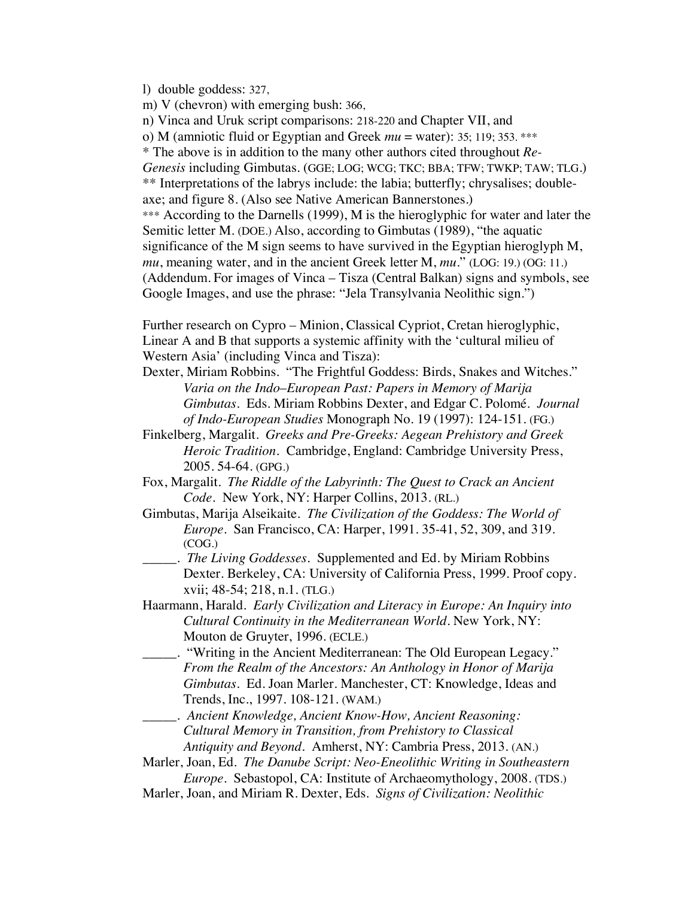l) double goddess: 327,

m) V (chevron) with emerging bush: 366,

n) Vinca and Uruk script comparisons: 218-220 and Chapter VII, and

o) M (amniotic fluid or Egyptian and Greek *mu* = water): 35; 119; 353. \*\*\*

\* The above is in addition to the many other authors cited throughout *Re-*

*Genesis* including Gimbutas. (GGE; LOG; WCG; TKC; BBA; TFW; TWKP; TAW; TLG.) \*\* Interpretations of the labrys include: the labia; butterfly; chrysalises; doubleaxe; and figure 8. (Also see Native American Bannerstones.)

\*\*\* According to the Darnells (1999), M is the hieroglyphic for water and later the Semitic letter M. (DOE.) Also, according to Gimbutas (1989), "the aquatic significance of the M sign seems to have survived in the Egyptian hieroglyph M, *mu*, meaning water, and in the ancient Greek letter M, *mu*." (LOG: 19.) (OG: 11.) (Addendum. For images of Vinca – Tisza (Central Balkan) signs and symbols, see Google Images, and use the phrase: "Jela Transylvania Neolithic sign.")

Further research on Cypro – Minion, Classical Cypriot, Cretan hieroglyphic, Linear A and B that supports a systemic affinity with the 'cultural milieu of Western Asia' (including Vinca and Tisza):

- Dexter, Miriam Robbins. "The Frightful Goddess: Birds, Snakes and Witches." *Varia on the Indo*–*European Past: Papers in Memory of Marija Gimbutas*. Eds. Miriam Robbins Dexter, and Edgar C. Polomé*. Journal of Indo-European Studies* Monograph No. 19 (1997): 124-151. (FG.)
- Finkelberg, Margalit. *Greeks and Pre-Greeks: Aegean Prehistory and Greek Heroic Tradition.* Cambridge, England: Cambridge University Press, 2005. 54-64. (GPG.)
- Fox, Margalit. *The Riddle of the Labyrinth: The Quest to Crack an Ancient Code.* New York, NY: Harper Collins, 2013. (RL.)
- Gimbutas, Marija Alseikaite. *The Civilization of the Goddess: The World of Europe*. San Francisco, CA: Harper, 1991. 35-41, 52, 309, and 319. (COG.)
- \_\_\_\_\_. *The Living Goddesses.* Supplemented and Ed. by Miriam Robbins Dexter. Berkeley, CA: University of California Press, 1999. Proof copy. xvii; 48-54; 218, n.1. (TLG.)
- Haarmann, Harald. *Early Civilization and Literacy in Europe: An Inquiry into Cultural Continuity in the Mediterranean World.* New York, NY: Mouton de Gruyter, 1996. (ECLE.)
- \_\_\_\_\_. "Writing in the Ancient Mediterranean: The Old European Legacy." *From the Realm of the Ancestors: An Anthology in Honor of Marija Gimbutas*. Ed. Joan Marler. Manchester, CT: Knowledge, Ideas and Trends, Inc., 1997. 108-121. (WAM.)
- \_\_\_\_\_. *Ancient Knowledge, Ancient Know-How, Ancient Reasoning: Cultural Memory in Transition, from Prehistory to Classical Antiquity and Beyond*. Amherst, NY: Cambria Press, 2013. (AN.)
- Marler, Joan, Ed. *The Danube Script: Neo-Eneolithic Writing in Southeastern Europe*. Sebastopol, CA: Institute of Archaeomythology, 2008. (TDS.)
- Marler, Joan, and Miriam R. Dexter, Eds. *Signs of Civilization: Neolithic*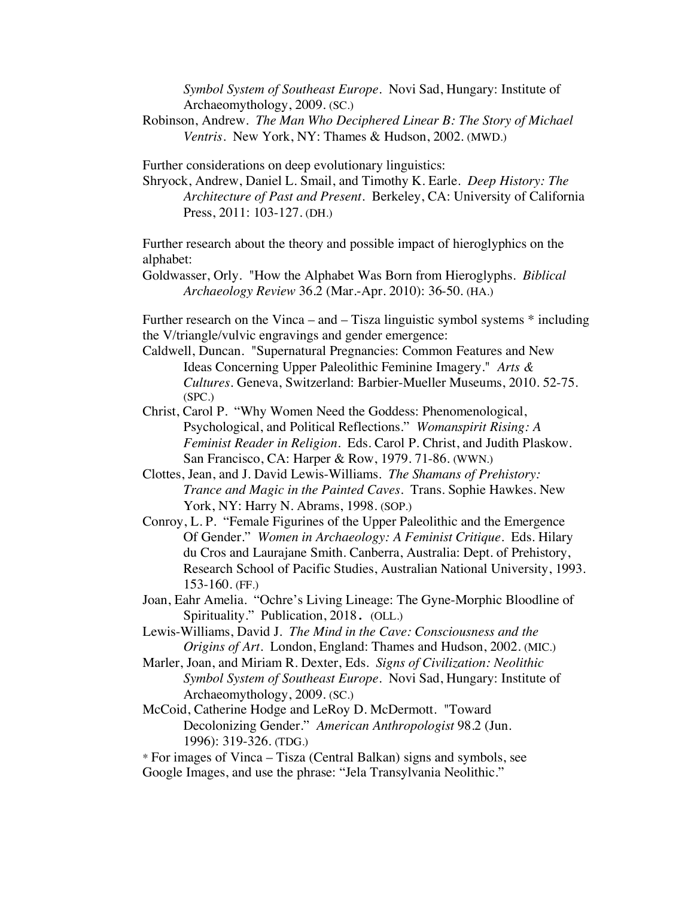*Symbol System of Southeast Europe*. Novi Sad, Hungary: Institute of Archaeomythology, 2009. (SC.)

Robinson, Andrew. *The Man Who Deciphered Linear B: The Story of Michael Ventris*. New York, NY: Thames & Hudson, 2002. (MWD.)

Further considerations on deep evolutionary linguistics:

Shryock, Andrew, Daniel L. Smail, and Timothy K. Earle. *Deep History: The Architecture of Past and Present*. Berkeley, CA: University of California Press, 2011: 103-127. (DH.)

Further research about the theory and possible impact of hieroglyphics on the alphabet:

Goldwasser, Orly. "How the Alphabet Was Born from Hieroglyphs. *Biblical Archaeology Review* 36.2 (Mar.-Apr. 2010): 36-50. (HA.)

Further research on the Vinca – and – Tisza linguistic symbol systems \* including the V/triangle/vulvic engravings and gender emergence:

Caldwell, Duncan. "Supernatural Pregnancies: Common Features and New Ideas Concerning Upper Paleolithic Feminine Imagery." *Arts & Cultures.* Geneva, Switzerland: Barbier-Mueller Museums, 2010. 52-75. (SPC.)

- Christ, Carol P. "Why Women Need the Goddess: Phenomenological, Psychological, and Political Reflections." *Womanspirit Rising: A Feminist Reader in Religion*. Eds. Carol P. Christ, and Judith Plaskow. San Francisco, CA: Harper & Row, 1979. 71-86. (WWN.)
- Clottes, Jean, and J. David Lewis-Williams. *The Shamans of Prehistory: Trance and Magic in the Painted Caves.* Trans. Sophie Hawkes. New York, NY: Harry N. Abrams, 1998. (SOP.)
- Conroy, L. P. "Female Figurines of the Upper Paleolithic and the Emergence Of Gender." *Women in Archaeology: A Feminist Critique*. Eds. Hilary du Cros and Laurajane Smith. Canberra, Australia: Dept. of Prehistory, Research School of Pacific Studies, Australian National University, 1993. 153-160. (FF.)
- Joan, Eahr Amelia. "Ochre's Living Lineage: The Gyne-Morphic Bloodline of Spirituality." Publication, 2018. (OLL.)
- Lewis-Williams, David J. *The Mind in the Cave: Consciousness and the Origins of Art.* London, England: Thames and Hudson, 2002. (MIC.)
- Marler, Joan, and Miriam R. Dexter, Eds. *Signs of Civilization: Neolithic Symbol System of Southeast Europe*. Novi Sad, Hungary: Institute of Archaeomythology, 2009. (SC.)
- McCoid, Catherine Hodge and LeRoy D. McDermott. "Toward Decolonizing Gender." *American Anthropologist* 98.2 (Jun. 1996): 319-326. (TDG.)
- \* For images of Vinca Tisza (Central Balkan) signs and symbols, see Google Images, and use the phrase: "Jela Transylvania Neolithic."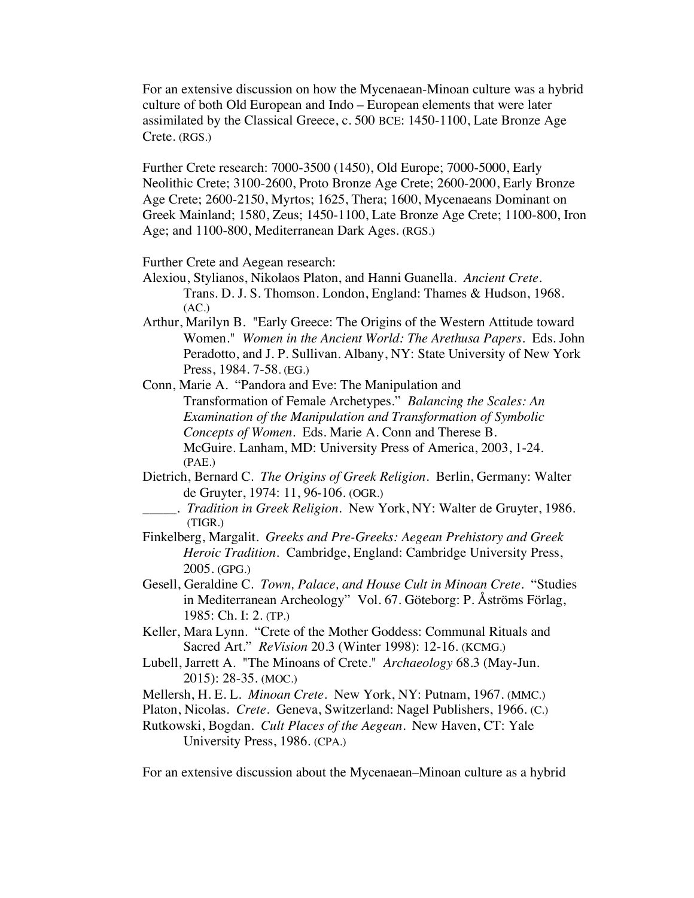For an extensive discussion on how the Mycenaean-Minoan culture was a hybrid culture of both Old European and Indo – European elements that were later assimilated by the Classical Greece, c. 500 BCE: 1450-1100, Late Bronze Age Crete. (RGS.)

Further Crete research: 7000-3500 (1450), Old Europe; 7000-5000, Early Neolithic Crete; 3100-2600, Proto Bronze Age Crete; 2600-2000, Early Bronze Age Crete; 2600-2150, Myrtos; 1625, Thera; 1600, Mycenaeans Dominant on Greek Mainland; 1580, Zeus; 1450-1100, Late Bronze Age Crete; 1100-800, Iron Age; and 1100-800, Mediterranean Dark Ages. (RGS.)

Further Crete and Aegean research:

- Alexiou, Stylianos, Nikolaos Platon, and Hanni Guanella. *Ancient Crete*. Trans. D. J. S. Thomson. London, England: Thames & Hudson, 1968.  $(AC.)$
- Arthur, Marilyn B. "Early Greece: The Origins of the Western Attitude toward Women." *Women in the Ancient World: The Arethusa Papers*. Eds. John Peradotto, and J. P. Sullivan. Albany, NY: State University of New York Press, 1984. 7-58. (EG.)
- Conn, Marie A. "Pandora and Eve: The Manipulation and Transformation of Female Archetypes." *Balancing the Scales: An Examination of the Manipulation and Transformation of Symbolic Concepts of Women*. Eds. Marie A. Conn and Therese B. McGuire*.* Lanham, MD: University Press of America, 2003, 1-24. (PAE.)
- Dietrich, Bernard C. *The Origins of Greek Religion.* Berlin, Germany: Walter de Gruyter, 1974: 11, 96-106. (OGR.)
- \_\_\_\_\_. *Tradition in Greek Religion*. New York, NY: Walter de Gruyter, 1986. (TIGR.)
- Finkelberg, Margalit. *Greeks and Pre-Greeks: Aegean Prehistory and Greek Heroic Tradition.* Cambridge, England: Cambridge University Press, 2005. (GPG.)
- Gesell, Geraldine C. *Town, Palace, and House Cult in Minoan Crete*. "Studies in Mediterranean Archeology" Vol. 67. Göteborg: P. Åströms Förlag, 1985: Ch. I: 2. (TP.)
- Keller, Mara Lynn. "Crete of the Mother Goddess: Communal Rituals and Sacred Art." *ReVision* 20.3 (Winter 1998): 12-16. (KCMG.)
- Lubell, Jarrett A. "The Minoans of Crete." *Archaeology* 68.3 (May-Jun. 2015): 28-35. (MOC.)
- Mellersh, H. E. L. *Minoan Crete*. New York, NY: Putnam, 1967. (MMC.)
- Platon, Nicolas. *Crete*. Geneva, Switzerland: Nagel Publishers, 1966. (C.)
- Rutkowski, Bogdan. *Cult Places of the Aegean*. New Haven, CT: Yale University Press, 1986. (CPA.)

For an extensive discussion about the Mycenaean–Minoan culture as a hybrid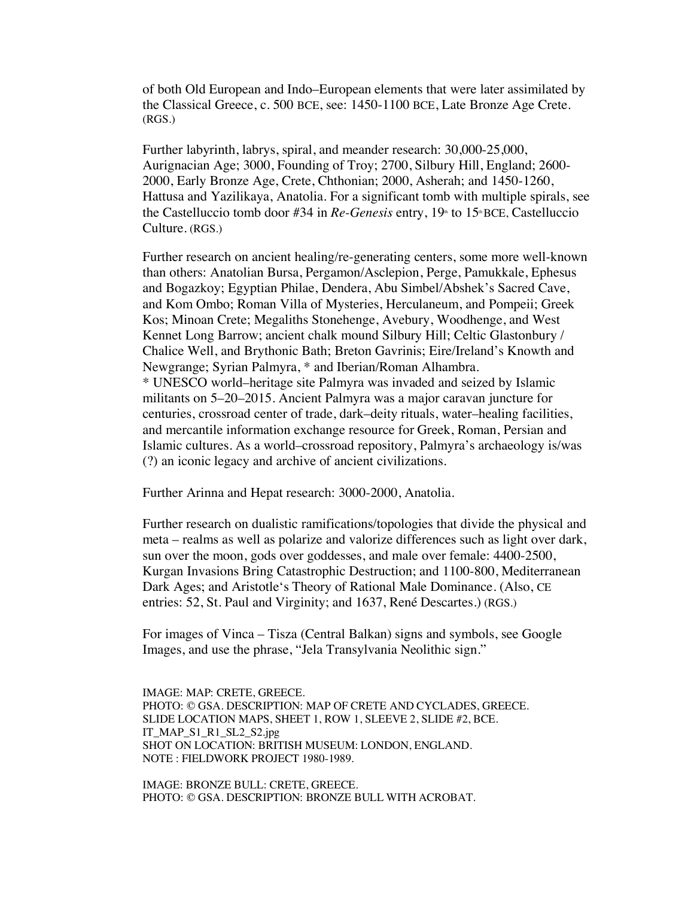of both Old European and Indo–European elements that were later assimilated by the Classical Greece, c. 500 BCE, see: 1450-1100 BCE, Late Bronze Age Crete. (RGS.)

Further labyrinth, labrys, spiral, and meander research: 30,000-25,000, Aurignacian Age; 3000, Founding of Troy; 2700, Silbury Hill, England; 2600- 2000, Early Bronze Age, Crete, Chthonian; 2000, Asherah; and 1450-1260, Hattusa and Yazilikaya, Anatolia. For a significant tomb with multiple spirals, see the Castelluccio tomb door #34 in *Re-Genesis* entry, 19<sup>th</sup> to 15<sup>th</sup> BCE, Castelluccio Culture. (RGS.)

Further research on ancient healing/re-generating centers, some more well-known than others: Anatolian Bursa, Pergamon/Asclepion, Perge, Pamukkale, Ephesus and Bogazkoy; Egyptian Philae, Dendera, Abu Simbel/Abshek's Sacred Cave, and Kom Ombo; Roman Villa of Mysteries, Herculaneum, and Pompeii; Greek Kos; Minoan Crete; Megaliths Stonehenge, Avebury, Woodhenge, and West Kennet Long Barrow; ancient chalk mound Silbury Hill; Celtic Glastonbury / Chalice Well, and Brythonic Bath; Breton Gavrinis; Eire/Ireland's Knowth and Newgrange; Syrian Palmyra, \* and Iberian/Roman Alhambra. \* UNESCO world–heritage site Palmyra was invaded and seized by Islamic militants on 5–20–2015. Ancient Palmyra was a major caravan juncture for centuries, crossroad center of trade, dark–deity rituals, water–healing facilities, and mercantile information exchange resource for Greek, Roman, Persian and Islamic cultures. As a world–crossroad repository, Palmyra's archaeology is/was (?) an iconic legacy and archive of ancient civilizations.

Further Arinna and Hepat research: 3000-2000, Anatolia.

Further research on dualistic ramifications/topologies that divide the physical and meta – realms as well as polarize and valorize differences such as light over dark, sun over the moon, gods over goddesses, and male over female: 4400-2500, Kurgan Invasions Bring Catastrophic Destruction; and 1100-800, Mediterranean Dark Ages; and Aristotle's Theory of Rational Male Dominance. (Also, CE entries: 52, St. Paul and Virginity; and 1637, René Descartes.) (RGS.)

For images of Vinca – Tisza (Central Balkan) signs and symbols, see Google Images, and use the phrase, "Jela Transylvania Neolithic sign."

IMAGE: MAP: CRETE, GREECE. PHOTO: © GSA. DESCRIPTION: MAP OF CRETE AND CYCLADES, GREECE. SLIDE LOCATION MAPS, SHEET 1, ROW 1, SLEEVE 2, SLIDE #2, BCE. IT\_MAP\_S1\_R1\_SL2\_S2.jpg SHOT ON LOCATION: BRITISH MUSEUM: LONDON, ENGLAND. NOTE : FIELDWORK PROJECT 1980-1989.

IMAGE: BRONZE BULL: CRETE, GREECE. PHOTO: © GSA. DESCRIPTION: BRONZE BULL WITH ACROBAT.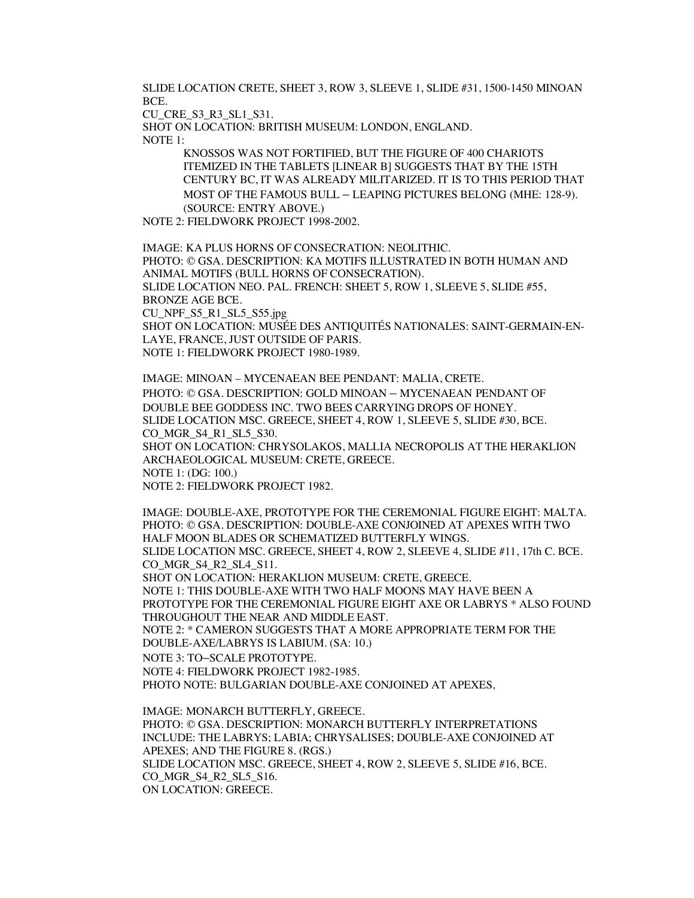SLIDE LOCATION CRETE, SHEET 3, ROW 3, SLEEVE 1, SLIDE #31, 1500-1450 MINOAN BCE.

CU\_CRE\_S3\_R3\_SL1\_S31.

SHOT ON LOCATION: BRITISH MUSEUM: LONDON, ENGLAND. NOTE  $1$ .

> KNOSSOS WAS NOT FORTIFIED, BUT THE FIGURE OF 400 CHARIOTS ITEMIZED IN THE TABLETS [LINEAR B] SUGGESTS THAT BY THE 15TH CENTURY BC, IT WAS ALREADY MILITARIZED. IT IS TO THIS PERIOD THAT MOST OF THE FAMOUS BULL – LEAPING PICTURES BELONG (MHE: 128-9). (SOURCE: ENTRY ABOVE.)

NOTE 2: FIELDWORK PROJECT 1998-2002.

IMAGE: KA PLUS HORNS OF CONSECRATION: NEOLITHIC. PHOTO: © GSA. DESCRIPTION: KA MOTIFS ILLUSTRATED IN BOTH HUMAN AND ANIMAL MOTIFS (BULL HORNS OF CONSECRATION). SLIDE LOCATION NEO. PAL. FRENCH: SHEET 5, ROW 1, SLEEVE 5, SLIDE #55, BRONZE AGE BCE. CU\_NPF\_S5\_R1\_SL5\_S55.jpg SHOT ON LOCATION: MUSÉE DES ANTIQUITÉS NATIONALES: SAINT-GERMAIN-EN-LAYE, FRANCE, JUST OUTSIDE OF PARIS. NOTE 1: FIELDWORK PROJECT 1980-1989.

IMAGE: MINOAN – MYCENAEAN BEE PENDANT: MALIA, CRETE. PHOTO: © GSA. DESCRIPTION: GOLD MINOAN – MYCENAEAN PENDANT OF DOUBLE BEE GODDESS INC. TWO BEES CARRYING DROPS OF HONEY. SLIDE LOCATION MSC. GREECE, SHEET 4, ROW 1, SLEEVE 5, SLIDE #30, BCE. CO\_MGR\_S4\_R1\_SL5\_S30. SHOT ON LOCATION: CHRYSOLAKOS, MALLIA NECROPOLIS AT THE HERAKLION ARCHAEOLOGICAL MUSEUM: CRETE, GREECE. NOTE 1: (DG: 100.)

NOTE 2: FIELDWORK PROJECT 1982.

IMAGE: DOUBLE-AXE, PROTOTYPE FOR THE CEREMONIAL FIGURE EIGHT: MALTA. PHOTO: © GSA. DESCRIPTION: DOUBLE-AXE CONJOINED AT APEXES WITH TWO HALF MOON BLADES OR SCHEMATIZED BUTTERFLY WINGS. SLIDE LOCATION MSC. GREECE, SHEET 4, ROW 2, SLEEVE 4, SLIDE #11, 17th C. BCE. CO MGR S4 R2 SL4 S11. SHOT ON LOCATION: HERAKLION MUSEUM: CRETE, GREECE. NOTE 1: THIS DOUBLE-AXE WITH TWO HALF MOONS MAY HAVE BEEN A PROTOTYPE FOR THE CEREMONIAL FIGURE EIGHT AXE OR LABRYS \* ALSO FOUND

THROUGHOUT THE NEAR AND MIDDLE EAST. NOTE 2: \* CAMERON SUGGESTS THAT A MORE APPROPRIATE TERM FOR THE DOUBLE-AXE/LABRYS IS LABIUM. (SA: 10.) NOTE 3: TO–SCALE PROTOTYPE.

NOTE 4: FIELDWORK PROJECT 1982-1985.

PHOTO NOTE: BULGARIAN DOUBLE-AXE CONJOINED AT APEXES,

IMAGE: MONARCH BUTTERFLY, GREECE. PHOTO: © GSA. DESCRIPTION: MONARCH BUTTERFLY INTERPRETATIONS INCLUDE: THE LABRYS; LABIA; CHRYSALISES; DOUBLE-AXE CONJOINED AT APEXES; AND THE FIGURE 8. (RGS.) SLIDE LOCATION MSC. GREECE, SHEET 4, ROW 2, SLEEVE 5, SLIDE #16, BCE. CO\_MGR\_S4\_R2\_SL5\_S16. ON LOCATION: GREECE.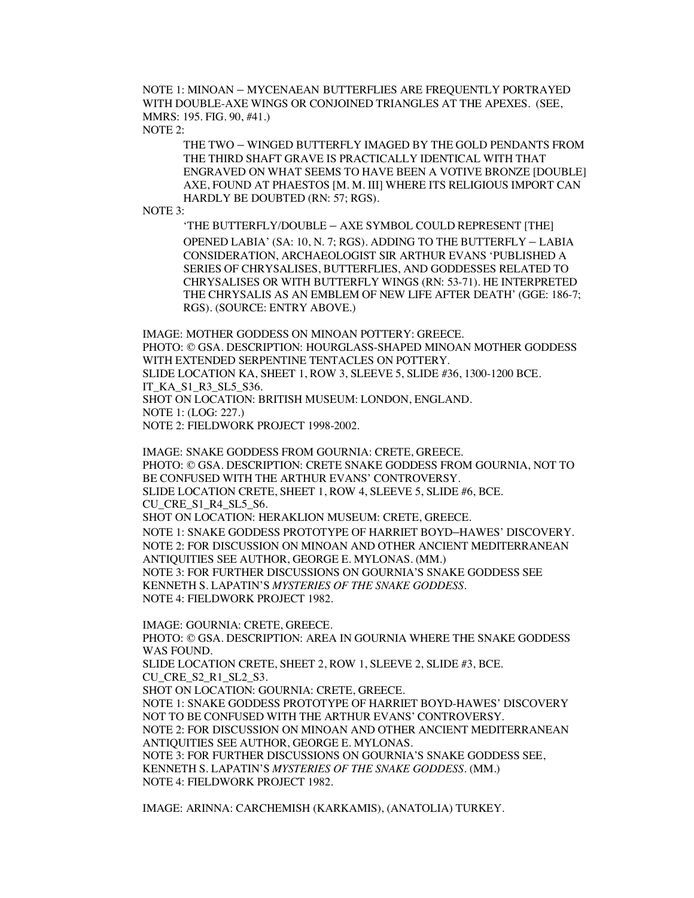NOTE 1: MINOAN – MYCENAEAN BUTTERFLIES ARE FREQUENTLY PORTRAYED WITH DOUBLE-AXE WINGS OR CONJOINED TRIANGLES AT THE APEXES. (SEE, MMRS: 195. FIG. 90, #41.)

NOTE 2:

THE TWO – WINGED BUTTERFLY IMAGED BY THE GOLD PENDANTS FROM THE THIRD SHAFT GRAVE IS PRACTICALLY IDENTICAL WITH THAT ENGRAVED ON WHAT SEEMS TO HAVE BEEN A VOTIVE BRONZE [DOUBLE] AXE, FOUND AT PHAESTOS [M. M. III] WHERE ITS RELIGIOUS IMPORT CAN HARDLY BE DOUBTED (RN: 57; RGS).

NOTE 3:

'THE BUTTERFLY/DOUBLE – AXE SYMBOL COULD REPRESENT [THE] OPENED LABIA' (SA: 10, N. 7; RGS). ADDING TO THE BUTTERFLY – LABIA CONSIDERATION, ARCHAEOLOGIST SIR ARTHUR EVANS 'PUBLISHED A SERIES OF CHRYSALISES, BUTTERFLIES, AND GODDESSES RELATED TO CHRYSALISES OR WITH BUTTERFLY WINGS (RN: 53-71). HE INTERPRETED THE CHRYSALIS AS AN EMBLEM OF NEW LIFE AFTER DEATH' (GGE: 186-7; RGS). (SOURCE: ENTRY ABOVE.)

IMAGE: MOTHER GODDESS ON MINOAN POTTERY: GREECE. PHOTO: © GSA. DESCRIPTION: HOURGLASS-SHAPED MINOAN MOTHER GODDESS WITH EXTENDED SERPENTINE TENTACLES ON POTTERY. SLIDE LOCATION KA, SHEET 1, ROW 3, SLEEVE 5, SLIDE #36, 1300-1200 BCE. IT\_KA\_S1\_R3\_SL5\_S36. SHOT ON LOCATION: BRITISH MUSEUM: LONDON, ENGLAND. NOTE 1: (LOG: 227.) NOTE 2: FIELDWORK PROJECT 1998-2002.

IMAGE: SNAKE GODDESS FROM GOURNIA: CRETE, GREECE. PHOTO: © GSA. DESCRIPTION: CRETE SNAKE GODDESS FROM GOURNIA, NOT TO BE CONFUSED WITH THE ARTHUR EVANS' CONTROVERSY. SLIDE LOCATION CRETE, SHEET 1, ROW 4, SLEEVE 5, SLIDE #6, BCE. CU\_CRE\_S1\_R4\_SL5\_S6. SHOT ON LOCATION: HERAKLION MUSEUM: CRETE, GREECE. NOTE 1: SNAKE GODDESS PROTOTYPE OF HARRIET BOYD–HAWES' DISCOVERY. NOTE 2: FOR DISCUSSION ON MINOAN AND OTHER ANCIENT MEDITERRANEAN ANTIQUITIES SEE AUTHOR, GEORGE E. MYLONAS. (MM.) NOTE 3: FOR FURTHER DISCUSSIONS ON GOURNIA'S SNAKE GODDESS SEE KENNETH S. LAPATIN'S *MYSTERIES OF THE SNAKE GODDESS.* NOTE 4: FIELDWORK PROJECT 1982.

IMAGE: GOURNIA: CRETE, GREECE. PHOTO: © GSA. DESCRIPTION: AREA IN GOURNIA WHERE THE SNAKE GODDESS WAS FOUND. SLIDE LOCATION CRETE, SHEET 2, ROW 1, SLEEVE 2, SLIDE #3, BCE. CU CRE S2\_R1\_SL2\_S3. SHOT ON LOCATION: GOURNIA: CRETE, GREECE. NOTE 1: SNAKE GODDESS PROTOTYPE OF HARRIET BOYD-HAWES' DISCOVERY NOT TO BE CONFUSED WITH THE ARTHUR EVANS' CONTROVERSY. NOTE 2: FOR DISCUSSION ON MINOAN AND OTHER ANCIENT MEDITERRANEAN ANTIQUITIES SEE AUTHOR, GEORGE E. MYLONAS. NOTE 3: FOR FURTHER DISCUSSIONS ON GOURNIA'S SNAKE GODDESS SEE, KENNETH S. LAPATIN'S *MYSTERIES OF THE SNAKE GODDESS.* (MM.) NOTE 4: FIELDWORK PROJECT 1982.

IMAGE: ARINNA: CARCHEMISH (KARKAMIS), (ANATOLIA) TURKEY.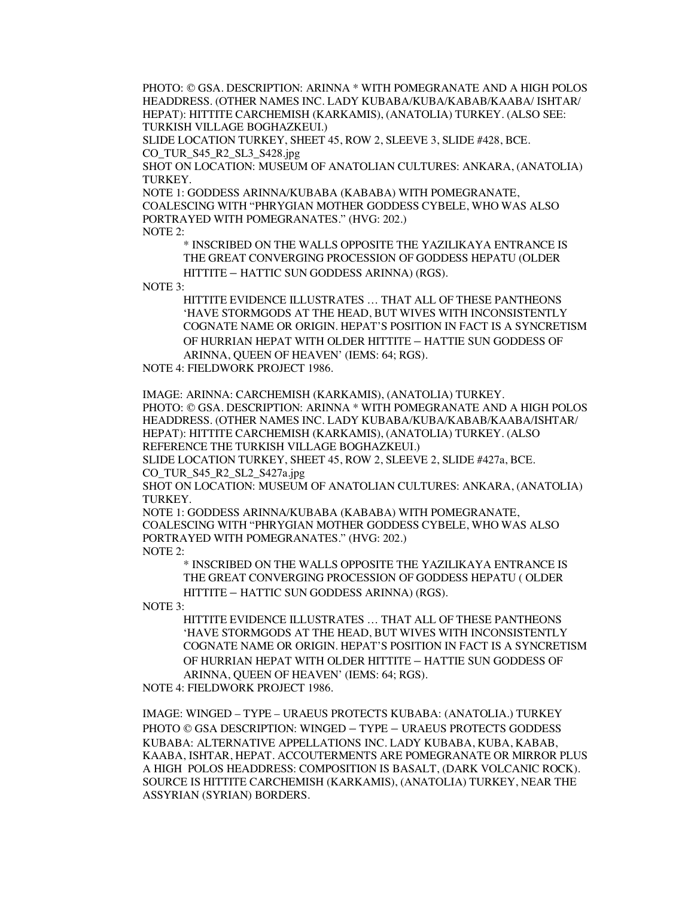PHOTO: © GSA. DESCRIPTION: ARINNA \* WITH POMEGRANATE AND A HIGH POLOS HEADDRESS. (OTHER NAMES INC. LADY KUBABA/KUBA/KABAB/KAABA/ ISHTAR/ HEPAT): HITTITE CARCHEMISH (KARKAMIS), (ANATOLIA) TURKEY. (ALSO SEE: TURKISH VILLAGE BOGHAZKEUI.)

SLIDE LOCATION TURKEY, SHEET 45, ROW 2, SLEEVE 3, SLIDE #428, BCE. CO\_TUR\_S45\_R2\_SL3\_S428.jpg

SHOT ON LOCATION: MUSEUM OF ANATOLIAN CULTURES: ANKARA, (ANATOLIA) TURKEY.

NOTE 1: GODDESS ARINNA/KUBABA (KABABA) WITH POMEGRANATE, COALESCING WITH "PHRYGIAN MOTHER GODDESS CYBELE, WHO WAS ALSO PORTRAYED WITH POMEGRANATES." (HVG: 202.) NOTE 2:

\* INSCRIBED ON THE WALLS OPPOSITE THE YAZILIKAYA ENTRANCE IS THE GREAT CONVERGING PROCESSION OF GODDESS HEPATU (OLDER HITTITE – HATTIC SUN GODDESS ARINNA) (RGS).

NOTE 3:

HITTITE EVIDENCE ILLUSTRATES … THAT ALL OF THESE PANTHEONS 'HAVE STORMGODS AT THE HEAD, BUT WIVES WITH INCONSISTENTLY COGNATE NAME OR ORIGIN. HEPAT'S POSITION IN FACT IS A SYNCRETISM OF HURRIAN HEPAT WITH OLDER HITTITE – HATTIE SUN GODDESS OF ARINNA, QUEEN OF HEAVEN' (IEMS: 64; RGS).

NOTE 4: FIELDWORK PROJECT 1986.

IMAGE: ARINNA: CARCHEMISH (KARKAMIS), (ANATOLIA) TURKEY. PHOTO: © GSA. DESCRIPTION: ARINNA \* WITH POMEGRANATE AND A HIGH POLOS HEADDRESS. (OTHER NAMES INC. LADY KUBABA/KUBA/KABAB/KAABA/ISHTAR/ HEPAT): HITTITE CARCHEMISH (KARKAMIS), (ANATOLIA) TURKEY. (ALSO REFERENCE THE TURKISH VILLAGE BOGHAZKEUI.)

SLIDE LOCATION TURKEY, SHEET 45, ROW 2, SLEEVE 2, SLIDE #427a, BCE. CO\_TUR\_S45\_R2\_SL2\_S427a.jpg

SHOT ON LOCATION: MUSEUM OF ANATOLIAN CULTURES: ANKARA, (ANATOLIA) TURKEY.

NOTE 1: GODDESS ARINNA/KUBABA (KABABA) WITH POMEGRANATE, COALESCING WITH "PHRYGIAN MOTHER GODDESS CYBELE, WHO WAS ALSO PORTRAYED WITH POMEGRANATES." (HVG: 202.) NOTE 2:

\* INSCRIBED ON THE WALLS OPPOSITE THE YAZILIKAYA ENTRANCE IS THE GREAT CONVERGING PROCESSION OF GODDESS HEPATU ( OLDER HITTITE – HATTIC SUN GODDESS ARINNA) (RGS).

NOTE 3:

HITTITE EVIDENCE ILLUSTRATES … THAT ALL OF THESE PANTHEONS 'HAVE STORMGODS AT THE HEAD, BUT WIVES WITH INCONSISTENTLY COGNATE NAME OR ORIGIN. HEPAT'S POSITION IN FACT IS A SYNCRETISM OF HURRIAN HEPAT WITH OLDER HITTITE – HATTIE SUN GODDESS OF ARINNA, QUEEN OF HEAVEN' (IEMS: 64; RGS).

NOTE 4: FIELDWORK PROJECT 1986.

IMAGE: WINGED – TYPE – URAEUS PROTECTS KUBABA: (ANATOLIA.) TURKEY PHOTO © GSA DESCRIPTION: WINGED – TYPE – URAEUS PROTECTS GODDESS KUBABA: ALTERNATIVE APPELLATIONS INC. LADY KUBABA, KUBA, KABAB, KAABA, ISHTAR, HEPAT. ACCOUTERMENTS ARE POMEGRANATE OR MIRROR PLUS A HIGH POLOS HEADDRESS: COMPOSITION IS BASALT, (DARK VOLCANIC ROCK). SOURCE IS HITTITE CARCHEMISH (KARKAMIS), (ANATOLIA) TURKEY, NEAR THE ASSYRIAN (SYRIAN) BORDERS.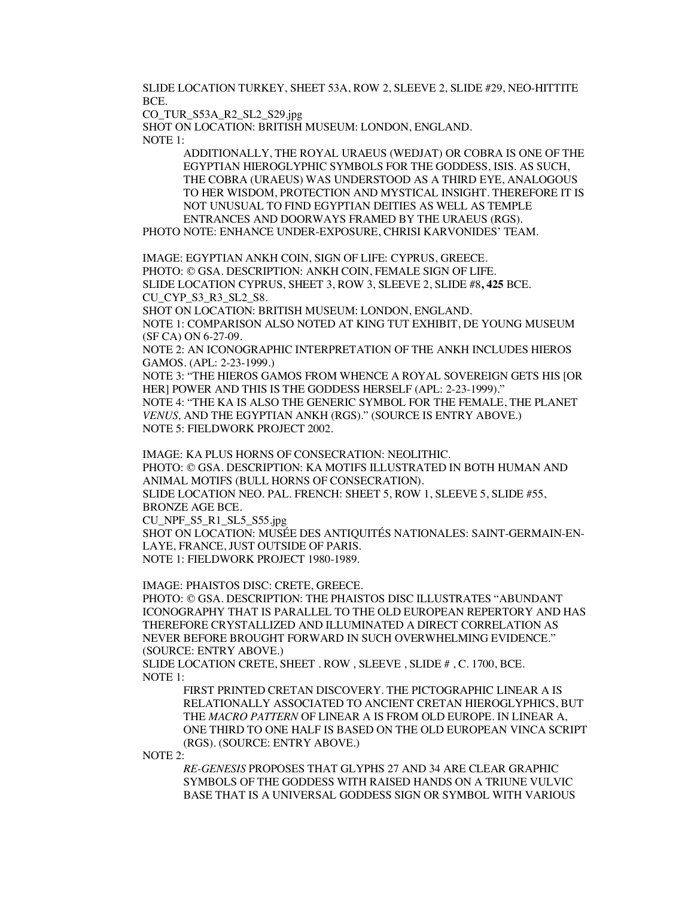SLIDE LOCATION TURKEY, SHEET 53A, ROW 2, SLEEVE 2, SLIDE #29, NEO-HITTITE BCE.

CO\_TUR\_S53A\_R2\_SL2\_S29.jpg

SHOT ON LOCATION: BRITISH MUSEUM: LONDON, ENGLAND. NOTE  $1$ .

> ADDITIONALLY, THE ROYAL URAEUS (WEDJAT) OR COBRA IS ONE OF THE EGYPTIAN HIEROGLYPHIC SYMBOLS FOR THE GODDESS, ISIS. AS SUCH, THE COBRA (URAEUS) WAS UNDERSTOOD AS A THIRD EYE, ANALOGOUS TO HER WISDOM, PROTECTION AND MYSTICAL INSIGHT. THEREFORE IT IS NOT UNUSUAL TO FIND EGYPTIAN DEITIES AS WELL AS TEMPLE ENTRANCES AND DOORWAYS FRAMED BY THE URAEUS (RGS).

PHOTO NOTE: ENHANCE UNDER-EXPOSURE, CHRISI KARVONIDES' TEAM.

IMAGE: EGYPTIAN ANKH COIN, SIGN OF LIFE: CYPRUS, GREECE. PHOTO: © GSA. DESCRIPTION: ANKH COIN, FEMALE SIGN OF LIFE. SLIDE LOCATION CYPRUS, SHEET 3, ROW 3, SLEEVE 2, SLIDE #8**, 425** BCE. CU\_CYP\_S3\_R3\_SL2\_S8.

SHOT ON LOCATION: BRITISH MUSEUM: LONDON, ENGLAND. NOTE 1: COMPARISON ALSO NOTED AT KING TUT EXHIBIT, DE YOUNG MUSEUM (SF CA) ON 6-27-09.

NOTE 2: AN ICONOGRAPHIC INTERPRETATION OF THE ANKH INCLUDES HIEROS GAMOS. (APL: 2-23-1999.)

NOTE 3: "THE HIEROS GAMOS FROM WHENCE A ROYAL SOVEREIGN GETS HIS [OR HER] POWER AND THIS IS THE GODDESS HERSELF (APL: 2-23-1999)."

NOTE 4: "THE KA IS ALSO THE GENERIC SYMBOL FOR THE FEMALE, THE PLANET *VENUS,* AND THE EGYPTIAN ANKH (RGS)." (SOURCE IS ENTRY ABOVE.) NOTE 5: FIELDWORK PROJECT 2002.

IMAGE: KA PLUS HORNS OF CONSECRATION: NEOLITHIC. PHOTO: © GSA. DESCRIPTION: KA MOTIFS ILLUSTRATED IN BOTH HUMAN AND ANIMAL MOTIFS (BULL HORNS OF CONSECRATION). SLIDE LOCATION NEO. PAL. FRENCH: SHEET 5, ROW 1, SLEEVE 5, SLIDE #55, BRONZE AGE BCE. CU\_NPF\_S5\_R1\_SL5\_S55.jpg SHOT ON LOCATION: MUSÉE DES ANTIQUITÉS NATIONALES: SAINT-GERMAIN-EN-LAYE, FRANCE, JUST OUTSIDE OF PARIS. NOTE 1: FIELDWORK PROJECT 1980-1989.

IMAGE: PHAISTOS DISC: CRETE, GREECE.

PHOTO: © GSA. DESCRIPTION: THE PHAISTOS DISC ILLUSTRATES "ABUNDANT ICONOGRAPHY THAT IS PARALLEL TO THE OLD EUROPEAN REPERTORY AND HAS THEREFORE CRYSTALLIZED AND ILLUMINATED A DIRECT CORRELATION AS NEVER BEFORE BROUGHT FORWARD IN SUCH OVERWHELMING EVIDENCE." (SOURCE: ENTRY ABOVE.)

SLIDE LOCATION CRETE, SHEET . ROW , SLEEVE , SLIDE # , C. 1700, BCE. NOTE 1:

> FIRST PRINTED CRETAN DISCOVERY. THE PICTOGRAPHIC LINEAR A IS RELATIONALLY ASSOCIATED TO ANCIENT CRETAN HIEROGLYPHICS, BUT THE *MACRO PATTERN* OF LINEAR A IS FROM OLD EUROPE. IN LINEAR A, ONE THIRD TO ONE HALF IS BASED ON THE OLD EUROPEAN VINCA SCRIPT (RGS). (SOURCE: ENTRY ABOVE.)

NOTE 2:

*RE-GENESIS* PROPOSES THAT GLYPHS 27 AND 34 ARE CLEAR GRAPHIC SYMBOLS OF THE GODDESS WITH RAISED HANDS ON A TRIUNE VULVIC BASE THAT IS A UNIVERSAL GODDESS SIGN OR SYMBOL WITH VARIOUS